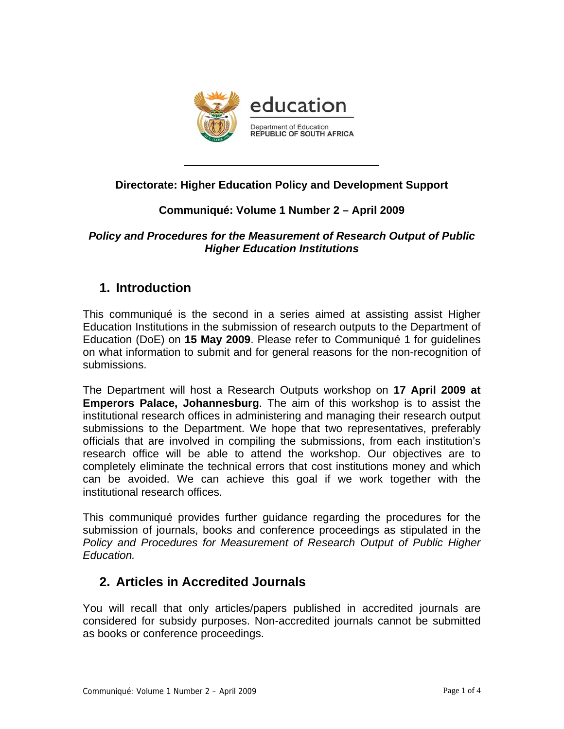

## **Directorate: Higher Education Policy and Development Support**

## **Communiqué: Volume 1 Number 2 – April 2009**

### *Policy and Procedures for the Measurement of Research Output of Public Higher Education Institutions*

# **1. Introduction**

This communiqué is the second in a series aimed at assisting assist Higher Education Institutions in the submission of research outputs to the Department of Education (DoE) on **15 May 2009**. Please refer to Communiqué 1 for guidelines on what information to submit and for general reasons for the non-recognition of submissions.

The Department will host a Research Outputs workshop on **17 April 2009 at Emperors Palace, Johannesburg**. The aim of this workshop is to assist the institutional research offices in administering and managing their research output submissions to the Department. We hope that two representatives, preferably officials that are involved in compiling the submissions, from each institution's research office will be able to attend the workshop. Our objectives are to completely eliminate the technical errors that cost institutions money and which can be avoided. We can achieve this goal if we work together with the institutional research offices.

This communiqué provides further guidance regarding the procedures for the submission of journals, books and conference proceedings as stipulated in the *Policy and Procedures for Measurement of Research Output of Public Higher Education.*

# **2. Articles in Accredited Journals**

You will recall that only articles/papers published in accredited journals are considered for subsidy purposes. Non-accredited journals cannot be submitted as books or conference proceedings.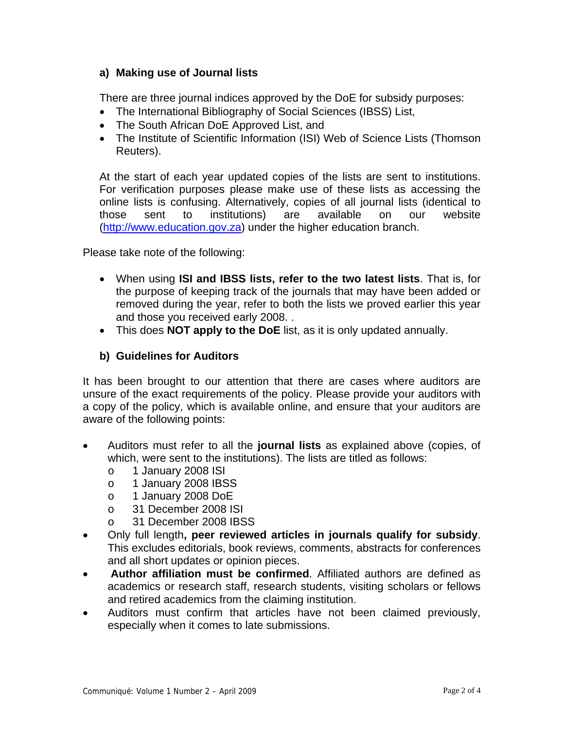### **a) Making use of Journal lists**

There are three journal indices approved by the DoE for subsidy purposes:

- The International Bibliography of Social Sciences (IBSS) List,
- The South African DoE Approved List, and
- The Institute of Scientific Information (ISI) Web of Science Lists (Thomson Reuters).

At the start of each year updated copies of the lists are sent to institutions. For verification purposes please make use of these lists as accessing the online lists is confusing. Alternatively, copies of all journal lists (identical to those sent to institutions) are available on our website (http://www.education.gov.za) under the higher education branch.

Please take note of the following:

- When using **ISI and IBSS lists, refer to the two latest lists**. That is, for the purpose of keeping track of the journals that may have been added or removed during the year, refer to both the lists we proved earlier this year and those you received early 2008. .
- This does **NOT apply to the DoE** list, as it is only updated annually.

#### **b) Guidelines for Auditors**

It has been brought to our attention that there are cases where auditors are unsure of the exact requirements of the policy. Please provide your auditors with a copy of the policy, which is available online, and ensure that your auditors are aware of the following points:

- Auditors must refer to all the **journal lists** as explained above (copies, of which, were sent to the institutions). The lists are titled as follows:
	- o 1 January 2008 ISI
	- o 1 January 2008 IBSS
	- o 1 January 2008 DoE
	- o 31 December 2008 ISI
	- o 31 December 2008 IBSS
- Only full length**, peer reviewed articles in journals qualify for subsidy**. This excludes editorials, book reviews, comments, abstracts for conferences and all short updates or opinion pieces.
- **Author affiliation must be confirmed**. Affiliated authors are defined as academics or research staff, research students, visiting scholars or fellows and retired academics from the claiming institution.
- Auditors must confirm that articles have not been claimed previously, especially when it comes to late submissions.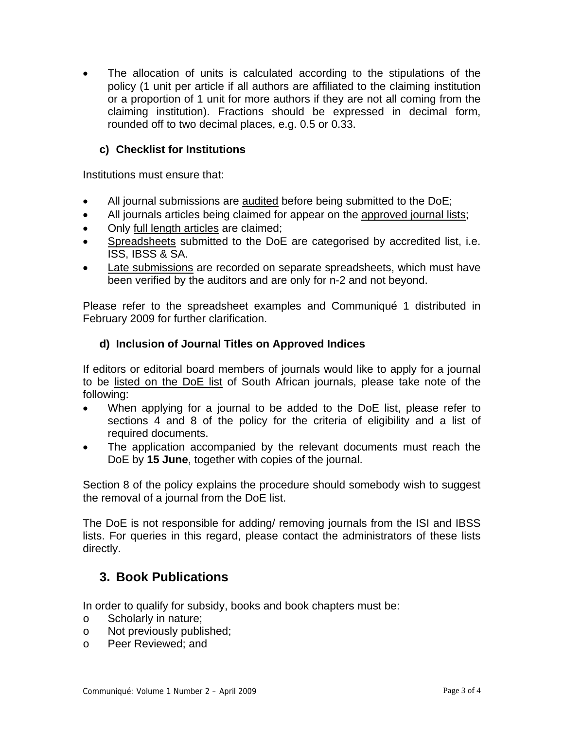The allocation of units is calculated according to the stipulations of the policy (1 unit per article if all authors are affiliated to the claiming institution or a proportion of 1 unit for more authors if they are not all coming from the claiming institution). Fractions should be expressed in decimal form, rounded off to two decimal places, e.g. 0.5 or 0.33.

### **c) Checklist for Institutions**

Institutions must ensure that:

- All journal submissions are <u>audited</u> before being submitted to the DoE;
- All journals articles being claimed for appear on the approved journal lists;
- Only full length articles are claimed;
- Spreadsheets submitted to the DoE are categorised by accredited list, i.e. ISS, IBSS & SA.
- Late submissions are recorded on separate spreadsheets, which must have been verified by the auditors and are only for n-2 and not beyond.

Please refer to the spreadsheet examples and Communiqué 1 distributed in February 2009 for further clarification.

### **d) Inclusion of Journal Titles on Approved Indices**

If editors or editorial board members of journals would like to apply for a journal to be listed on the DoE list of South African journals, please take note of the following:

- When applying for a journal to be added to the DoE list, please refer to sections 4 and 8 of the policy for the criteria of eligibility and a list of required documents.
- The application accompanied by the relevant documents must reach the DoE by **15 June**, together with copies of the journal.

Section 8 of the policy explains the procedure should somebody wish to suggest the removal of a journal from the DoE list.

The DoE is not responsible for adding/ removing journals from the ISI and IBSS lists. For queries in this regard, please contact the administrators of these lists directly.

# **3. Book Publications**

In order to qualify for subsidy, books and book chapters must be:

- o Scholarly in nature;
- o Not previously published;
- o Peer Reviewed; and